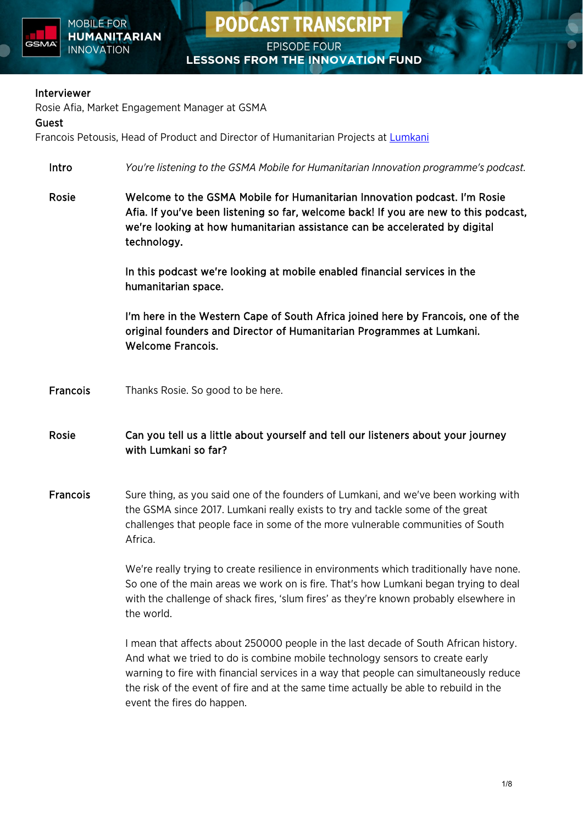

**PODCAST TRANSCRIPT** 

#### Interviewer

Rosie Afia, Market Engagement Manager at GSMA

#### Guest

Francois Petousis, Head of Product and Director of Humanitarian Projects at [Lumkani](https://lumkani.com/)

- Intro *You're listening to the GSMA Mobile for Humanitarian Innovation programme's podcast.*
- Rosie Welcome to the GSMA Mobile for Humanitarian Innovation podcast. I'm Rosie Afia. If you've been listening so far, welcome back! If you are new to this podcast, we're looking at how humanitarian assistance can be accelerated by digital technology.

In this podcast we're looking at mobile enabled financial services in the humanitarian space.

I'm here in the Western Cape of South Africa joined here by Francois, one of the original founders and Director of Humanitarian Programmes at Lumkani. Welcome Francois.

- Francois Thanks Rosie. So good to be here.
- Rosie Can you tell us a little about yourself and tell our listeners about your journey with Lumkani so far?
- Francois Sure thing, as you said one of the founders of Lumkani, and we've been working with the GSMA since 2017. Lumkani really exists to try and tackle some of the great challenges that people face in some of the more vulnerable communities of South Africa.

We're really trying to create resilience in environments which traditionally have none. So one of the main areas we work on is fire. That's how Lumkani began trying to deal with the challenge of shack fires, 'slum fires' as they're known probably elsewhere in the world.

I mean that affects about 250000 people in the last decade of South African history. And what we tried to do is combine mobile technology sensors to create early warning to fire with financial services in a way that people can simultaneously reduce the risk of the event of fire and at the same time actually be able to rebuild in the event the fires do happen.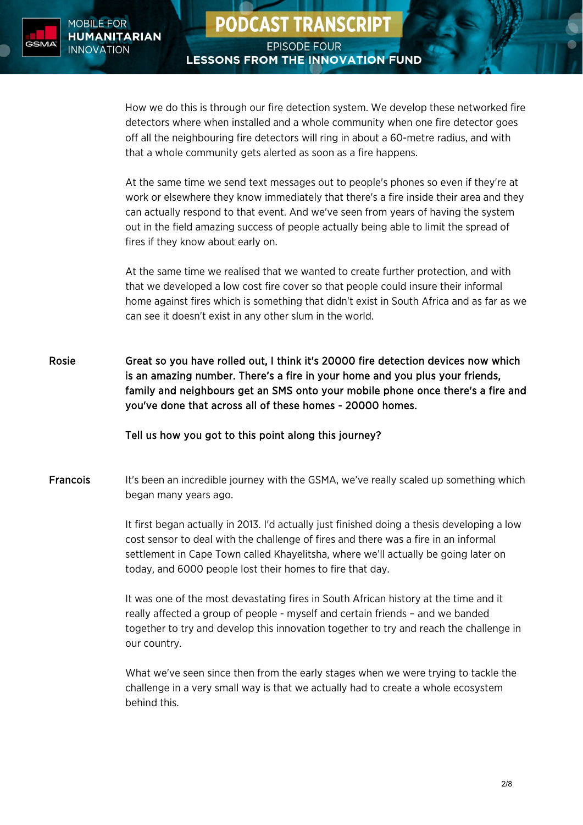

**PODCAST TRANSCRIPT** 

How we do this is through our fire detection system. We develop these networked fire detectors where when installed and a whole community when one fire detector goes off all the neighbouring fire detectors will ring in about a 60-metre radius, and with that a whole community gets alerted as soon as a fire happens.

At the same time we send text messages out to people's phones so even if they're at work or elsewhere they know immediately that there's a fire inside their area and they can actually respond to that event. And we've seen from years of having the system out in the field amazing success of people actually being able to limit the spread of fires if they know about early on.

At the same time we realised that we wanted to create further protection, and with that we developed a low cost fire cover so that people could insure their informal home against fires which is something that didn't exist in South Africa and as far as we can see it doesn't exist in any other slum in the world.

Rosie Great so you have rolled out, I think it's 20000 fire detection devices now which is an amazing number. There's a fire in your home and you plus your friends, family and neighbours get an SMS onto your mobile phone once there's a fire and you've done that across all of these homes - 20000 homes.

#### Tell us how you got to this point along this journey?

**Francois** It's been an incredible journey with the GSMA, we've really scaled up something which began many years ago.

> It first began actually in 2013. I'd actually just finished doing a thesis developing a low cost sensor to deal with the challenge of fires and there was a fire in an informal settlement in Cape Town called Khayelitsha, where we'll actually be going later on today, and 6000 people lost their homes to fire that day.

> It was one of the most devastating fires in South African history at the time and it really affected a group of people - myself and certain friends – and we banded together to try and develop this innovation together to try and reach the challenge in our country.

What we've seen since then from the early stages when we were trying to tackle the challenge in a very small way is that we actually had to create a whole ecosystem behind this.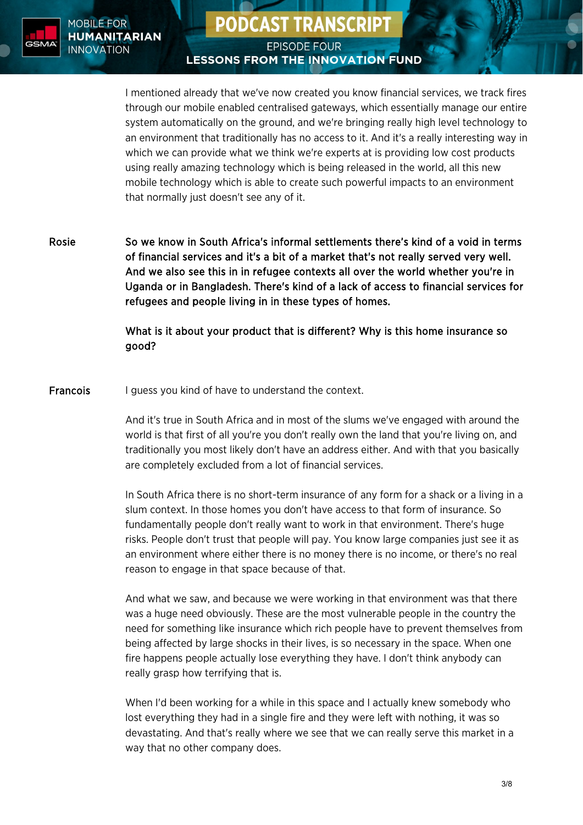

## **PODCAST TRANSCRIPT**

## **EPISODE FOUR LESSONS FROM THE INNOVATION FUND**

I mentioned already that we've now created you know financial services, we track fires through our mobile enabled centralised gateways, which essentially manage our entire system automatically on the ground, and we're bringing really high level technology to an environment that traditionally has no access to it. And it's a really interesting way in which we can provide what we think we're experts at is providing low cost products using really amazing technology which is being released in the world, all this new mobile technology which is able to create such powerful impacts to an environment that normally just doesn't see any of it.

Rosie So we know in South Africa's informal settlements there's kind of a void in terms of financial services and it's a bit of a market that's not really served very well. And we also see this in in refugee contexts all over the world whether you're in Uganda or in Bangladesh. There's kind of a lack of access to financial services for refugees and people living in in these types of homes.

> What is it about your product that is different? Why is this home insurance so good?

Francois I guess you kind of have to understand the context.

And it's true in South Africa and in most of the slums we've engaged with around the world is that first of all you're you don't really own the land that you're living on, and traditionally you most likely don't have an address either. And with that you basically are completely excluded from a lot of financial services.

In South Africa there is no short-term insurance of any form for a shack or a living in a slum context. In those homes you don't have access to that form of insurance. So fundamentally people don't really want to work in that environment. There's huge risks. People don't trust that people will pay. You know large companies just see it as an environment where either there is no money there is no income, or there's no real reason to engage in that space because of that.

And what we saw, and because we were working in that environment was that there was a huge need obviously. These are the most vulnerable people in the country the need for something like insurance which rich people have to prevent themselves from being affected by large shocks in their lives, is so necessary in the space. When one fire happens people actually lose everything they have. I don't think anybody can really grasp how terrifying that is.

When I'd been working for a while in this space and I actually knew somebody who lost everything they had in a single fire and they were left with nothing, it was so devastating. And that's really where we see that we can really serve this market in a way that no other company does.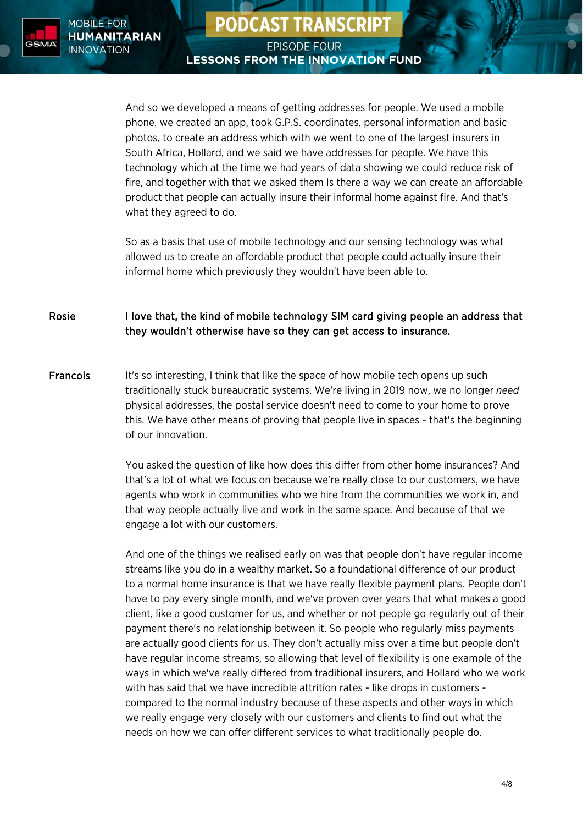

**PODCAST TRANSCRIPT** 

And so we developed a means of getting addresses for people. We used a mobile phone, we created an app, took G.P.S. coordinates, personal information and basic photos, to create an address which with we went to one of the largest insurers in South Africa, Hollard, and we said we have addresses for people. We have this technology which at the time we had years of data showing we could reduce risk of fire, and together with that we asked them Is there a way we can create an affordable product that people can actually insure their informal home against fire. And that's what they agreed to do.

So as a basis that use of mobile technology and our sensing technology was what allowed us to create an affordable product that people could actually insure their informal home which previously they wouldn't have been able to.

Rosie I love that, the kind of mobile technology SIM card giving people an address that they wouldn't otherwise have so they can get access to insurance.

Francois It's so interesting, I think that like the space of how mobile tech opens up such traditionally stuck bureaucratic systems. We're living in 2019 now, we no longer *need* physical addresses, the postal service doesn't need to come to your home to prove this. We have other means of proving that people live in spaces - that's the beginning of our innovation.

> You asked the question of like how does this differ from other home insurances? And that's a lot of what we focus on because we're really close to our customers, we have agents who work in communities who we hire from the communities we work in, and that way people actually live and work in the same space. And because of that we engage a lot with our customers.

And one of the things we realised early on was that people don't have regular income streams like you do in a wealthy market. So a foundational difference of our product to a normal home insurance is that we have really flexible payment plans. People don't have to pay every single month, and we've proven over years that what makes a good client, like a good customer for us, and whether or not people go regularly out of their payment there's no relationship between it. So people who regularly miss payments are actually good clients for us. They don't actually miss over a time but people don't have regular income streams, so allowing that level of flexibility is one example of the ways in which we've really differed from traditional insurers, and Hollard who we work with has said that we have incredible attrition rates - like drops in customers compared to the normal industry because of these aspects and other ways in which we really engage very closely with our customers and clients to find out what the needs on how we can offer different services to what traditionally people do.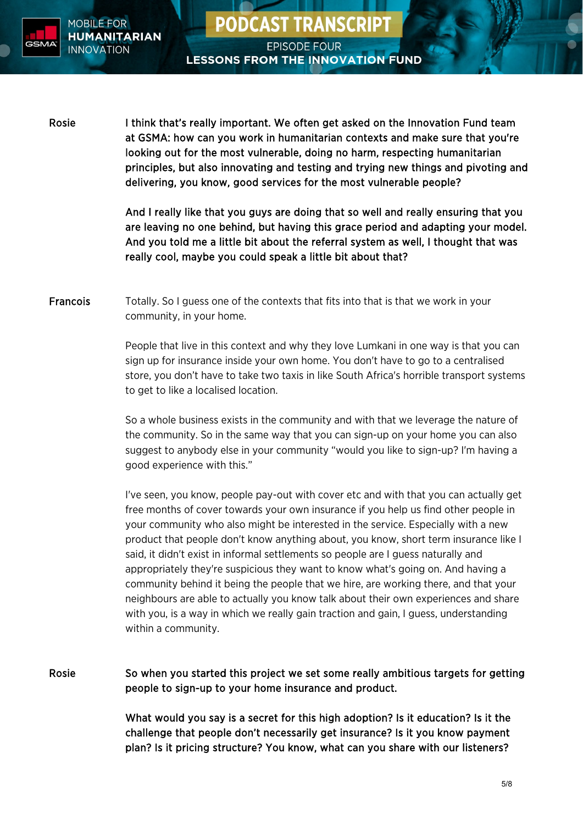

Rosie I think that's really important. We often get asked on the Innovation Fund team at GSMA: how can you work in humanitarian contexts and make sure that you're looking out for the most vulnerable, doing no harm, respecting humanitarian principles, but also innovating and testing and trying new things and pivoting and delivering, you know, good services for the most vulnerable people?

**PODCAST TRANSCRIPT** 

**EPISODE FOUR** 

**LESSONS FROM THE INNOVATION FUND** 

And I really like that you guys are doing that so well and really ensuring that you are leaving no one behind, but having this grace period and adapting your model. And you told me a little bit about the referral system as well, I thought that was really cool, maybe you could speak a little bit about that?

Francois Totally. So I guess one of the contexts that fits into that is that we work in your community, in your home.

> People that live in this context and why they love Lumkani in one way is that you can sign up for insurance inside your own home. You don't have to go to a centralised store, you don't have to take two taxis in like South Africa's horrible transport systems to get to like a localised location.

So a whole business exists in the community and with that we leverage the nature of the community. So in the same way that you can sign-up on your home you can also suggest to anybody else in your community "would you like to sign-up? I'm having a good experience with this."

I've seen, you know, people pay-out with cover etc and with that you can actually get free months of cover towards your own insurance if you help us find other people in your community who also might be interested in the service. Especially with a new product that people don't know anything about, you know, short term insurance like I said, it didn't exist in informal settlements so people are I guess naturally and appropriately they're suspicious they want to know what's going on. And having a community behind it being the people that we hire, are working there, and that your neighbours are able to actually you know talk about their own experiences and share with you, is a way in which we really gain traction and gain, I guess, understanding within a community.

Rosie So when you started this project we set some really ambitious targets for getting people to sign-up to your home insurance and product.

> What would you say is a secret for this high adoption? Is it education? Is it the challenge that people don't necessarily get insurance? Is it you know payment plan? Is it pricing structure? You know, what can you share with our listeners?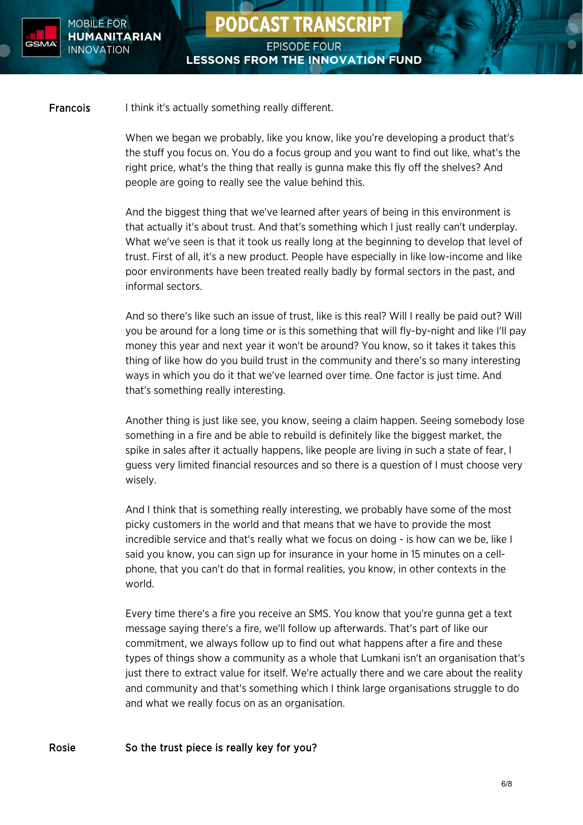

Francois I think it's actually something really different.

When we began we probably, like you know, like you're developing a product that's the stuff you focus on. You do a focus group and you want to find out like, what's the right price, what's the thing that really is gunna make this fly off the shelves? And people are going to really see the value behind this.

**PODCAST TRANSCRIPT** 

**EPISODE FOUR** 

**LESSONS FROM THE INNOVATION FUND** 

And the biggest thing that we've learned after years of being in this environment is that actually it's about trust. And that's something which I just really can't underplay. What we've seen is that it took us really long at the beginning to develop that level of trust. First of all, it's a new product. People have especially in like low-income and like poor environments have been treated really badly by formal sectors in the past, and informal sectors.

And so there's like such an issue of trust, like is this real? Will I really be paid out? Will you be around for a long time or is this something that will fly-by-night and like I'll pay money this year and next year it won't be around? You know, so it takes it takes this thing of like how do you build trust in the community and there's so many interesting ways in which you do it that we've learned over time. One factor is just time. And that's something really interesting.

Another thing is just like see, you know, seeing a claim happen. Seeing somebody lose something in a fire and be able to rebuild is definitely like the biggest market, the spike in sales after it actually happens, like people are living in such a state of fear, I guess very limited financial resources and so there is a question of I must choose very wisely.

And I think that is something really interesting, we probably have some of the most picky customers in the world and that means that we have to provide the most incredible service and that's really what we focus on doing - is how can we be, like I said you know, you can sign up for insurance in your home in 15 minutes on a cellphone, that you can't do that in formal realities, you know, in other contexts in the world.

Every time there's a fire you receive an SMS. You know that you're gunna get a text message saying there's a fire, we'll follow up afterwards. That's part of like our commitment, we always follow up to find out what happens after a fire and these types of things show a community as a whole that Lumkani isn't an organisation that's just there to extract value for itself. We're actually there and we care about the reality and community and that's something which I think large organisations struggle to do and what we really focus on as an organisation.

#### Rosie So the trust piece is really key for you?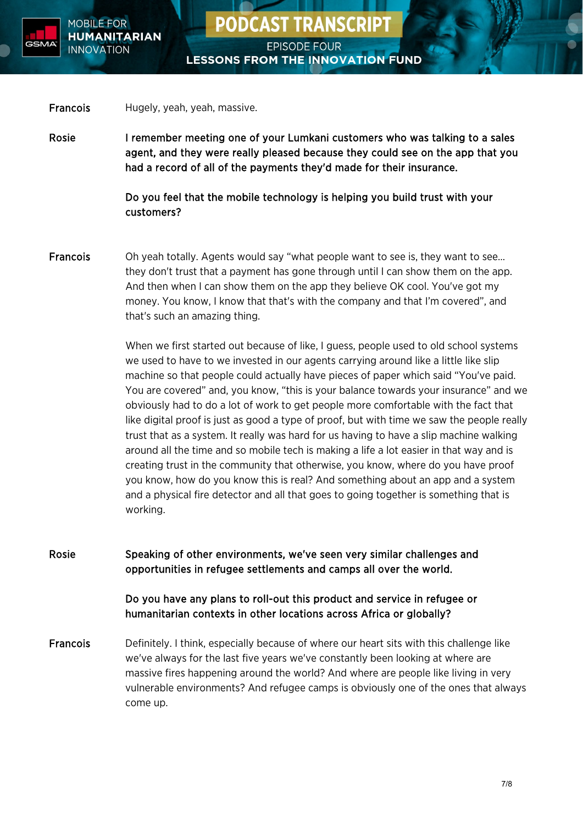

**PODCAST TRANSCRIPT** 

Francois Hugely, yeah, yeah, massive.

Rosie I remember meeting one of your Lumkani customers who was talking to a sales agent, and they were really pleased because they could see on the app that you had a record of all of the payments they'd made for their insurance.

> Do you feel that the mobile technology is helping you build trust with your customers?

Francois Oh yeah totally. Agents would say "what people want to see is, they want to see… they don't trust that a payment has gone through until I can show them on the app. And then when I can show them on the app they believe OK cool. You've got my money. You know, I know that that's with the company and that I'm covered", and that's such an amazing thing.

> When we first started out because of like, I guess, people used to old school systems we used to have to we invested in our agents carrying around like a little like slip machine so that people could actually have pieces of paper which said "You've paid. You are covered" and, you know, "this is your balance towards your insurance" and we obviously had to do a lot of work to get people more comfortable with the fact that like digital proof is just as good a type of proof, but with time we saw the people really trust that as a system. It really was hard for us having to have a slip machine walking around all the time and so mobile tech is making a life a lot easier in that way and is creating trust in the community that otherwise, you know, where do you have proof you know, how do you know this is real? And something about an app and a system and a physical fire detector and all that goes to going together is something that is working.

Rosie Speaking of other environments, we've seen very similar challenges and opportunities in refugee settlements and camps all over the world.

Do you have any plans to roll-out this product and service in refugee or humanitarian contexts in other locations across Africa or globally?

Francois Definitely. I think, especially because of where our heart sits with this challenge like we've always for the last five years we've constantly been looking at where are massive fires happening around the world? And where are people like living in very vulnerable environments? And refugee camps is obviously one of the ones that always come up.